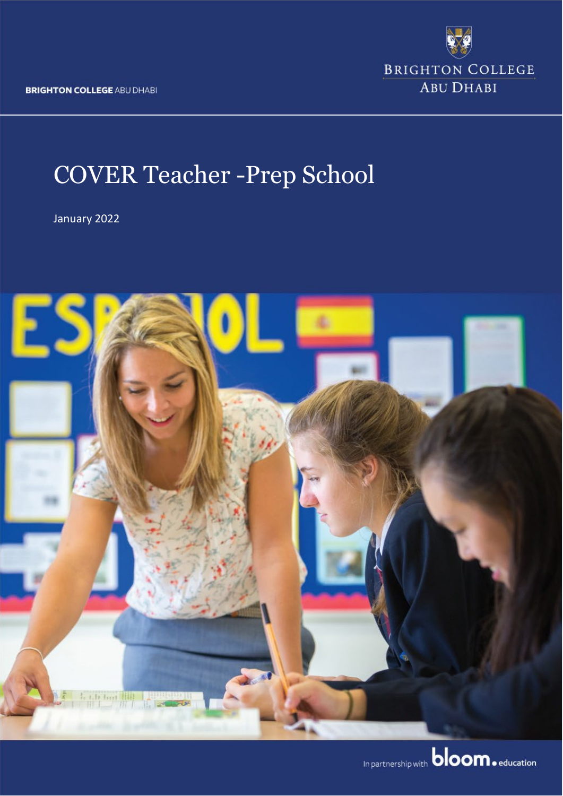**BRIGHTON COLLEGE ABU DHABI** 

**BRIGHTON COLLEGE ABU DHABI** 

# COVER Teacher -Prep School

January 2022

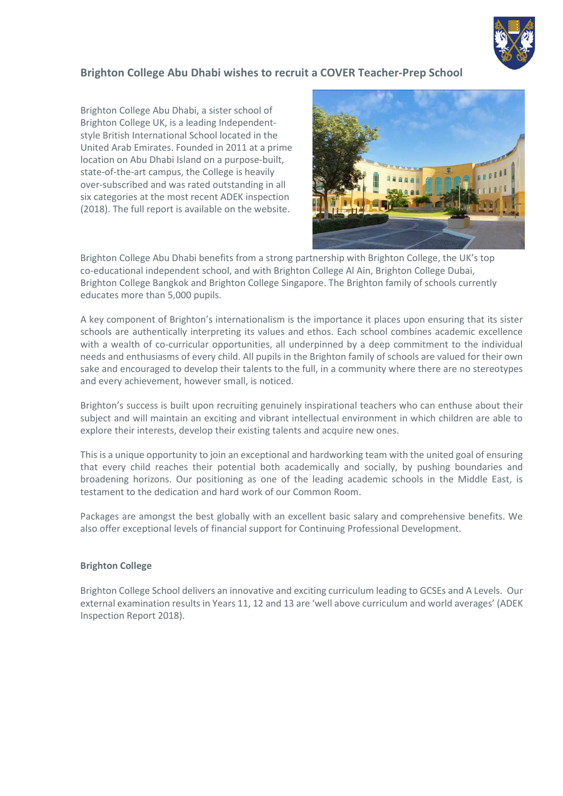

#### **Brighton College Abu Dhabi wishes to recruit a COVER Teacher-Prep School**

Brighton College Abu Dhabi, a sister school of Brighton College UK, is a leading Independentstyle British International School located in the United Arab Emirates. Founded in 2011 at a prime location on Abu Dhabi Island on a purpose-built, state-of-the-art campus, the College is heavily over-subscribed and was rated outstanding in all six categories at the most recent ADEK inspection (2018). The full report is available on the website.



Brighton College Abu Dhabi benefits from a strong partnership with Brighton College, the UK's top co-educational independent school, and with Brighton College Al Ain, Brighton College Dubai, Brighton College Bangkok and Brighton College Singapore. The Brighton family of schools currently educates more than 5,000 pupils.

A key component of Brighton's internationalism is the importance it places upon ensuring that its sister schools are authentically interpreting its values and ethos. Each school combines academic excellence with a wealth of co-curricular opportunities, all underpinned by a deep commitment to the individual needs and enthusiasms of every child. All pupils in the Brighton family of schools are valued for their own sake and encouraged to develop their talents to the full, in a community where there are no stereotypes and every achievement, however small, is noticed.

Brighton's success is built upon recruiting genuinely inspirational teachers who can enthuse about their subject and will maintain an exciting and vibrant intellectual environment in which children are able to explore their interests, develop their existing talents and acquire new ones.

This is a unique opportunity to join an exceptional and hardworking team with the united goal of ensuring that every child reaches their potential both academically and socially, by pushing boundaries and broadening horizons. Our positioning as one of the leading academic schools in the Middle East, is testament to the dedication and hard work of our Common Room.

Packages are amongst the best globally with an excellent basic salary and comprehensive benefits. We also offer exceptional levels of financial support for Continuing Professional Development.

#### **Brighton College**

Brighton College School delivers an innovative and exciting curriculum leading to GCSEs and A Levels. Our external examination results in Years 11, 12 and 13 are 'well above curriculum and world averages' (ADEK Inspection Report 2018).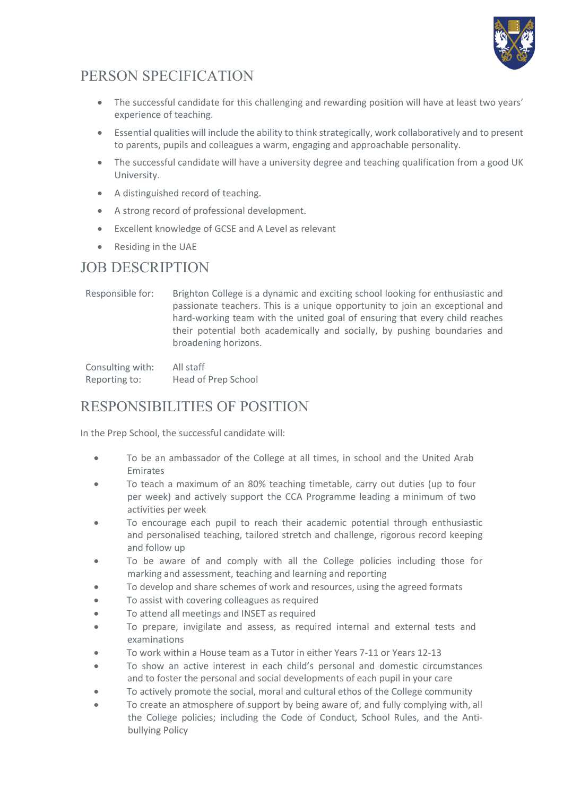

# PERSON SPECIFICATION

- The successful candidate for this challenging and rewarding position will have at least two years' experience of teaching.
- Essential qualities will include the ability to think strategically, work collaboratively and to present to parents, pupils and colleagues a warm, engaging and approachable personality.
- The successful candidate will have a university degree and teaching qualification from a good UK University.
- A distinguished record of teaching.
- A strong record of professional development.
- Excellent knowledge of GCSE and A Level as relevant
- Residing in the UAE

### JOB DESCRIPTION

Responsible for: Brighton College is a dynamic and exciting school looking for enthusiastic and passionate teachers. This is a unique opportunity to join an exceptional and hard-working team with the united goal of ensuring that every child reaches their potential both academically and socially, by pushing boundaries and broadening horizons.

Consulting with: All staff Reporting to: Head of Prep School

# RESPONSIBILITIES OF POSITION

In the Prep School, the successful candidate will:

- To be an ambassador of the College at all times, in school and the United Arab Emirates
- To teach a maximum of an 80% teaching timetable, carry out duties (up to four per week) and actively support the CCA Programme leading a minimum of two activities per week
- To encourage each pupil to reach their academic potential through enthusiastic and personalised teaching, tailored stretch and challenge, rigorous record keeping and follow up
- To be aware of and comply with all the College policies including those for marking and assessment, teaching and learning and reporting
- To develop and share schemes of work and resources, using the agreed formats
- To assist with covering colleagues as required
- To attend all meetings and INSET as required
- To prepare, invigilate and assess, as required internal and external tests and examinations
- To work within a House team as a Tutor in either Years 7-11 or Years 12-13
- To show an active interest in each child's personal and domestic circumstances and to foster the personal and social developments of each pupil in your care
- To actively promote the social, moral and cultural ethos of the College community
- To create an atmosphere of support by being aware of, and fully complying with, all the College policies; including the Code of Conduct, School Rules, and the Antibullying Policy